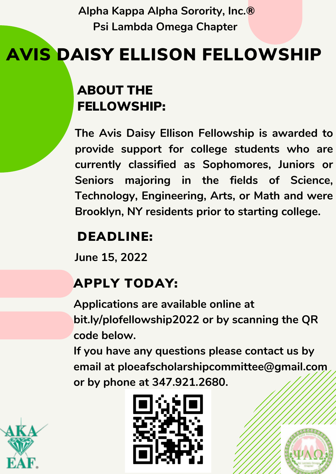**Alpha Kappa Alpha Sorority, Inc.® Psi Lambda Omega Chapter**

# AVIS DAISY ELLISON FELLOWSHIP

### ABOUT THE FELLOWSHIP:

**The Avis Daisy Ellison Fellowship is awarded to provide support for college students who are currently classified as Sophomores, Juniors or Seniors majoring in the fields of Science, Technology, Engineering, Arts, or Math and were Brooklyn, NY residents prior to starting college.**

## DEADLINE:

**June 15, 2022**

# APPLY TODAY:

**Applications are available online at bit.ly/plofellowship2022 or by scanning the QR code below.**

**If you have any questions please contact us by email at ploeafscholarshipcommittee@gmail.com or by phone at 347.921.2680.**





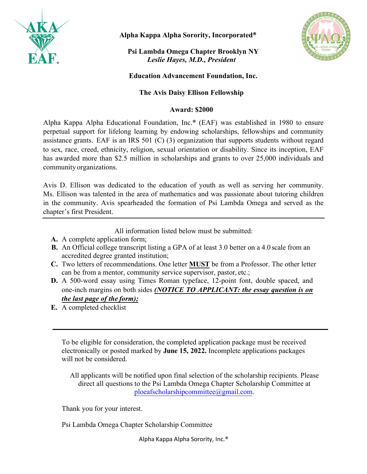

**Alpha Kappa Alpha Sorority, Incorporated®**

**Psi Lambda Omega Chapter Brooklyn NY**  *Leslie Hayes, M.D., President*



#### **Education Advancement Foundation, Inc.**

#### **The Avis Daisy Ellison Fellowship**

#### **Award: \$2000**

Alpha Kappa Alpha Educational Foundation, Inc.® (EAF) was established in 1980 to ensure perpetual support for lifelong learning by endowing scholarships, fellowships and community assistance grants. EAF is an IRS 501 (C) (3) organization that supports students without regard to sex, race, creed, ethnicity, religion, sexual orientation or disability. Since its inception, EAF has awarded more than \$2.5 million in scholarships and grants to over 25,000 individuals and community organizations.

Avis D. Ellison was dedicated to the education of youth as well as serving her community. Ms. Ellison was talented in the area of mathematics and was passionate about tutoring children in the community. Avis spearheaded the formation of Psi Lambda Omega and served as the chapter's first President.

All information listed below must be submitted:

- **A.** A complete application form;
- **B.** An Official college transcript listing a GPA of at least 3.0 better on a 4.0 scale from an accredited degree granted institution;
- **C.** Two letters of recommendations. One letter **MUST** be from a Professor. The other letter can be from a mentor, community service supervisor, pastor, etc.;
- **D.** A 500-word essay using Times Roman typeface, 12-point font, double spaced, and one-inch margins on both sides *(NOTICE TO APPLICANT: the essay question is on the last page of the form);*
- **E.** A completed checklist

To be eligible for consideration, the completed application package must be received electronically or posted marked by **June 15, 2022.** Incomplete applications packages will not be considered.

All applicants will be notified upon final selection of the scholarship recipients. Please direct all questions to the Psi Lambda Omega Chapter Scholarship Committee at ploeafscholarshipcommittee@gmail.com.

Thank you for your interest.

Psi Lambda Omega Chapter Scholarship Committee

Alpha Kappa Alpha Sorority, Inc.®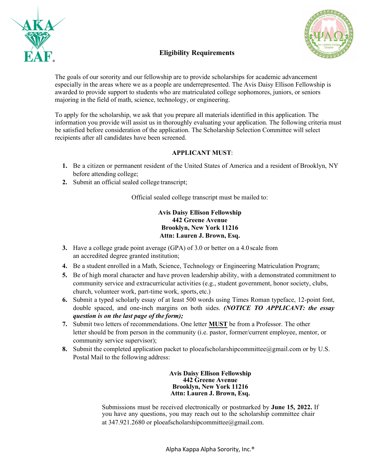



#### **Eligibility Requirements**

The goals of our sorority and our fellowship are to provide scholarships for academic advancement especially in the areas where we as a people are underrepresented. The Avis Daisy Ellison Fellowship is awarded to provide support to students who are matriculated college sophomores, juniors, or seniors majoring in the field of math, science, technology, or engineering.

To apply for the scholarship, we ask that you prepare all materials identified in this application. The information you provide will assist us in thoroughly evaluating your application. The following criteria must be satisfied before consideration of the application. The Scholarship Selection Committee will select recipients after all candidates have been screened.

#### **APPLICANT MUST**:

- **1.** Be a citizen or permanent resident of the United States of America and a resident of Brooklyn, NY before attending college;
- **2.** Submit an official sealed college transcript;

Official sealed college transcript must be mailed to:

**Avis Daisy Ellison Fellowship 442 Greene Avenue Brooklyn, New York 11216 Attn: Lauren J. Brown, Esq.**

- **3.** Have a college grade point average (GPA) of 3.0 or better on a 4.0 scale from an accredited degree granted institution;
- **4.** Be a student enrolled in a Math, Science, Technology or Engineering Matriculation Program;
- **5.** Be of high moral character and have proven leadership ability, with a demonstrated commitment to community service and extracurricular activities (e.g., student government, honor society, clubs, church, volunteer work, part-time work, sports, etc.)
- **6.** Submit a typed scholarly essay of at least 500 words using Times Roman typeface, 12-point font, double spaced, and one-inch margins on both sides. *(NOTICE TO APPLICANT: the essay question is on the last page of the form);*
- **7.** Submit two letters of recommendations. One letter **MUST** be from a Professor. The other letter should be from person in the community (i.e. pastor, former/current employee, mentor, or community service supervisor);
- **8.** Submit the completed application packet to ploeafscholarshipcommittee@gmail.com or by U.S. Postal Mail to the following address:

**Avis Daisy Ellison Fellowship 442 Greene Avenue Brooklyn, New York 11216 Attn: Lauren J. Brown, Esq.**

Submissions must be received electronically or postmarked by **June 15, 2022.** If you have any questions, you may reach out to the scholarship committee chair at 347.921.2680 or ploeafscholarshipcommittee@gmail.com.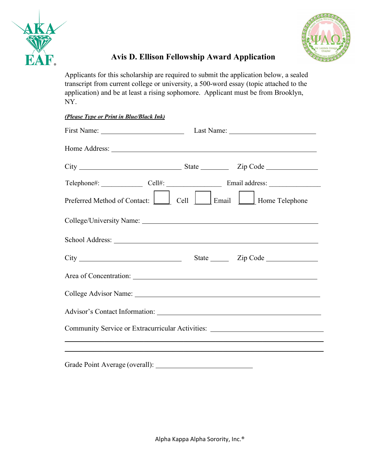



### **Avis D. Ellison Fellowship Award Application**

Applicants for this scholarship are required to submit the application below, a sealed transcript from current college or university, a 500-word essay (topic attached to the application) and be at least a rising sophomore. Applicant must be from Brooklyn, NY.

| First Name: Last Name: Last Name:                                                |  |
|----------------------------------------------------------------------------------|--|
| Home Address:                                                                    |  |
|                                                                                  |  |
|                                                                                  |  |
| Preferred Method of Contact: Cell Cell Email Email Home Telephone                |  |
|                                                                                  |  |
|                                                                                  |  |
|                                                                                  |  |
|                                                                                  |  |
|                                                                                  |  |
|                                                                                  |  |
| Community Service or Extracurricular Activities: _______________________________ |  |
|                                                                                  |  |

Grade Point Average (overall):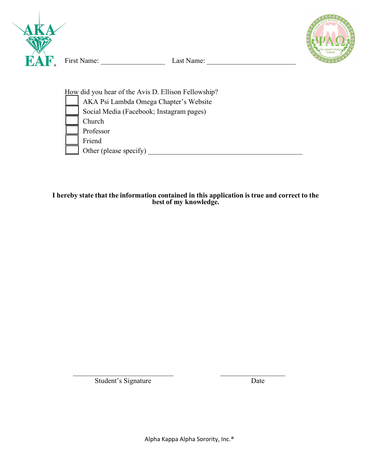



How did you hear of the Avis D. Ellison Fellowship? \_\_\_\_ AKA Psi Lambda Omega Chapter's Website Social Media (Facebook; Instagram pages) \_\_\_\_ Church \_\_\_\_ Professor Friend \_\_\_\_ Other (please specify) \_\_\_\_\_\_\_\_\_\_\_\_\_\_\_\_\_\_\_\_\_\_\_\_\_\_\_\_\_\_\_\_\_\_\_\_\_\_\_\_\_\_\_

**I hereby state that the information contained in this application istrue and correct to the best of my knowledge.**

Student's Signature Date

 $\mathcal{L}_\text{max}$  , and the contract of the contract of the contract of the contract of the contract of the contract of the contract of the contract of the contract of the contract of the contract of the contract of the contr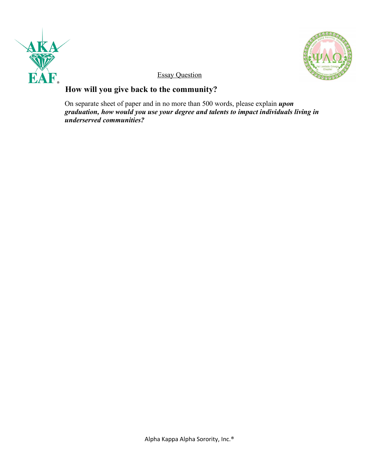



**Essay Question** 

### **How will you give back to the community?**

On separate sheet of paper and in no more than 500 words, please explain *upon graduation, how would you use your degree and talents to impact individuals living in underserved communities?*